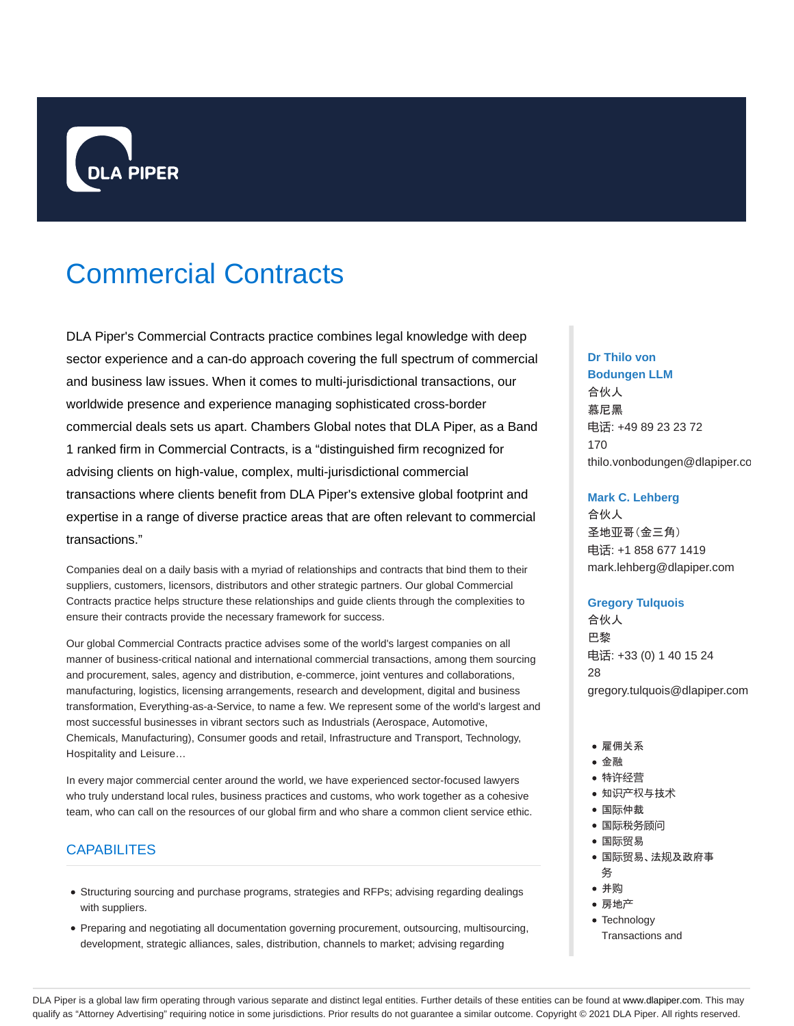

# Commercial Contracts

DLA Piper's Commercial Contracts practice combines legal knowledge with deep sector experience and a can-do approach covering the full spectrum of commercial and business law issues. When it comes to multi-jurisdictional transactions, our worldwide presence and experience managing sophisticated cross-border commercial deals sets us apart. Chambers Global notes that DLA Piper, as a Band 1 ranked firm in Commercial Contracts, is a "distinguished firm recognized for advising clients on high-value, complex, multi-jurisdictional commercial transactions where clients benefit from DLA Piper's extensive global footprint and expertise in a range of diverse practice areas that are often relevant to commercial transactions."

Companies deal on a daily basis with a myriad of relationships and contracts that bind them to their suppliers, customers, licensors, distributors and other strategic partners. Our global Commercial Contracts practice helps structure these relationships and guide clients through the complexities to ensure their contracts provide the necessary framework for success.

Our global Commercial Contracts practice advises some of the world's largest companies on all manner of business-critical national and international commercial transactions, among them sourcing and procurement, sales, agency and distribution, e-commerce, joint ventures and collaborations, manufacturing, logistics, licensing arrangements, research and development, digital and business transformation, Everything-as-a-Service, to name a few. We represent some of the world's largest and most successful businesses in vibrant sectors such as Industrials (Aerospace, Automotive, Chemicals, Manufacturing), Consumer goods and retail, Infrastructure and Transport, Technology, Hospitality and Leisure…

In every major commercial center around the world, we have experienced sector-focused lawyers who truly understand local rules, business practices and customs, who work together as a cohesive team, who can call on the resources of our global firm and who share a common client service ethic.

### **CAPABILITES**

- Structuring sourcing and purchase programs, strategies and RFPs; advising regarding dealings with suppliers.
- Preparing and negotiating all documentation governing procurement, outsourcing, multisourcing, development, strategic alliances, sales, distribution, channels to market; advising regarding

# **Dr Thilo von**

**Bodungen LLM** 合伙人 慕尼黑 电话: +49 89 23 23 72 170 thilo.vonbodungen@dlapiper.com

#### **Mark C. Lehberg**

合伙人 圣地亚哥(金三角) 电话: +1 858 677 1419 mark.lehberg@dlapiper.com

#### **Gregory Tulquois**

合伙人 巴黎 电话: +33 (0) 1 40 15 24 28 gregory.tulquois@dlapiper.com

- •雇佣关系
- 金融
- 特许经营
- 知识产权与技术
- 国际仲裁
- 国际税务顾问
- 国际贸易
- 国际贸易、法规及政府事
- 务 并购
- 房地产
- Technology
- Transactions and

DLA Piper is a global law firm operating through various separate and distinct legal entities. Further details of these entities can be found at www.dlapiper.com. This may qualify as "Attorney Advertising" requiring notice in some jurisdictions. Prior results do not guarantee a similar outcome. Copyright @ 2021 DLA Piper. All rights reserved.